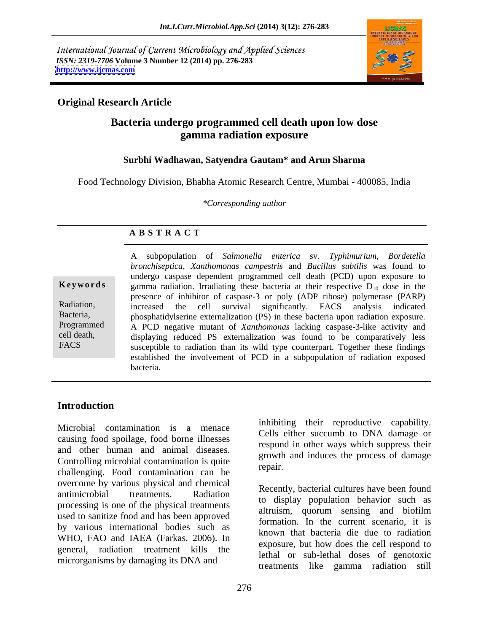International Journal of Current Microbiology and Applied Sciences *ISSN: 2319-7706* **Volume 3 Number 12 (2014) pp. 276-283 <http://www.ijcmas.com>**



#### **Original Research Article**

### **Bacteria undergo programmed cell death upon low dose gamma radiation exposure**

#### **Surbhi Wadhawan, Satyendra Gautam\* and Arun Sharma**

Food Technology Division, Bhabha Atomic Research Centre, Mumbai - 400085, India

*\*Corresponding author* 

#### **A B S T R A C T**

**Keywords** gamma radiation. Irradiating these bacteria at their respective D<sub>10</sub> dose in the Radiation, increased the cell survival significantly. FACS analysis indicated Bacteria, phosphatidylserine externalization (PS) in these bacteria upon radiation exposure. Programmed A PCD negative mutant of *Xanthomonas* lacking caspase-3-like activity and cell death, displaying reduced PS externalization was found to be comparatively less FACS susceptible to radiation than its wild type counterpart. Together these findings A subpopulation of *Salmonella enterica* sv. *Typhimurium, Bordetella bronchiseptica, Xanthomonas campestris* and *Bacillus subtilis* was found to undergo caspase dependent programmed cell death (PCD) upon exposure to presence of inhibitor of caspase-3 or poly (ADP ribose) polymerase (PARP) increased the cell survival significantly. FACS analysis indicated established the involvement of PCD in a subpopulation of radiation exposed bacteria.

### **Introduction**

Microbial contamination is a menace causing food spoilage, food borne illnesses and other human and animal diseases. Controlling microbial contamination is quite the series of the controlling microbial contamination is quite challenging. Food contamination can be overcome by various physical and chemical antimicrobial treatments. Radiation Recently, bacterial curriculum behavior such as processing is one of the physical treatments used to sanitize food and has been approved by various international bodies such as WHO, FAO and IAEA (Farkas, 2006). In general, radiation treatment kills the microrganisms by damaging its DNA and

inhibiting their reproductive capability. Cells either succumb to DNA damage or respond in other ways which suppress their growth and induces the process of damage repair.

Recently, bacterial cultures have been found to display population behavior such as altruism, quorum sensing and biofilm formation. In the current scenario, it is known that bacteria die due to radiation exposure, but how does the cell respond to lethal or sub-lethal doses of genotoxic treatments like gamma radiation still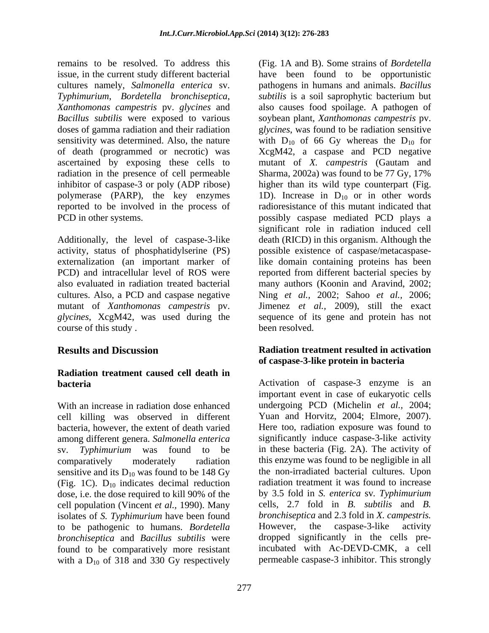activity, status of phosphatidylserine (PS) mutant of *Xanthomonas campestris* pv. course of this study . been resolved.

## **Radiation treatment caused cell death in**

With an increase in radiation dose enhanced cell killing was observed in different bacteria, however, the extent of death varied among different genera. *Salmonella enterica* sensitive and its  $D_{10}$  was found to be 148 Gy (Fig. 1C).  $D_{10}$  indicates decimal reduction dose, i.e. the dose required to kill 90% of the cell population (Vincent *et al.,* 1990). Many isolates of *S. Typhimurium* have been found to be pathogenic to humans. *Bordetella*  found to be comparatively more resistant with a  $D_{10}$  of 318 and 330 Gy respectively

remains to be resolved. To address this (Fig. 1A and B). Some strains of *Bordetella*  issue, in the current study different bacterial have been found to be opportunistic cultures namely, *Salmonella enterica* sv. pathogens in humans and animals. *Bacillus Typhimurium*, *Bordetella bronchiseptica*, *subtilis* is a soil saprophytic bacterium but *Xanthomonas campestris* pv. *glycines* and also causes food spoilage. A pathogen of *Bacillus subtilis* were exposed to various soybean plant,*Xanthomonas campestris* pv. doses of gamma radiation and their radiation g*lycines*, was found to be radiation sensitive sensitivity was determined. Also, the nature with  $D_{10}$  of 66 Gy whereas the  $D_{10}$  for of death (programmed or necrotic) was XcgM42, a caspase and PCD negative ascertained by exposing these cells to mutant of *X. campestris* (Gautam and radiation in the presence of cell permeable Sharma, 2002a) was found to be 77 Gy, 17% inhibitor of caspase-3 or poly (ADP ribose) higher than its wild type counterpart (Fig. polymerase (PARP), the key enzymes  $1D$ ). Increase in  $D_{10}$  or in other words reported to be involved in the process of radioresistance of this mutant indicated that PCD in other systems. possibly caspase mediated PCD plays a Additionally, the level of caspase-3-like death (RICD) in this organism. Although the externalization (an important marker of like domain containing proteins has been PCD) and intracellular level of ROS were reported from different bacterial species by also evaluated in radiation treated bacterial many authors (Koonin and Aravind, 2002; cultures. Also, a PCD and caspase negative Ning *et al.,* 2002; Sahoo *et al.,* 2006; *glycines,* XcgM42, was used during the sequence of its gene and protein has not significant role in radiation induced cell possible existence of caspase/metacaspase-Jimenez *et al.,* 2009), still the exact been resolved.

#### **Results and Discussion Radiation treatment resulted in activation of caspase-3-like protein in bacteria**

**bacteria** Activation of caspase-3 enzyme is an sv. *Typhimurium* was found to be in these bacteria (Fig. 2A). The activity of comparatively moderately radiation this enzyme was found to be negligible in all *bronchiseptica* and *Bacillus subtilis* were dropped significantly in the cells preimportant event in case of eukaryotic cells undergoing PCD (Michelin *et al.,* 2004; Yuan and Horvitz, 2004; Elmore, 2007). Here too, radiation exposure was found to significantly induce caspase-3-like activity the non-irradiated bacterial cultures. Upon radiation treatment it was found to increase by 3.5 fold in *S. enterica* sv*. Typhimurium* cells, 2.7 fold in *B. subtilis* and *B. bronchiseptica* and 2.3 fold in *X. campestris.*  However, the caspase-3-like activity incubated with Ac-DEVD-CMK, a cell permeable caspase-3 inhibitor. This strongly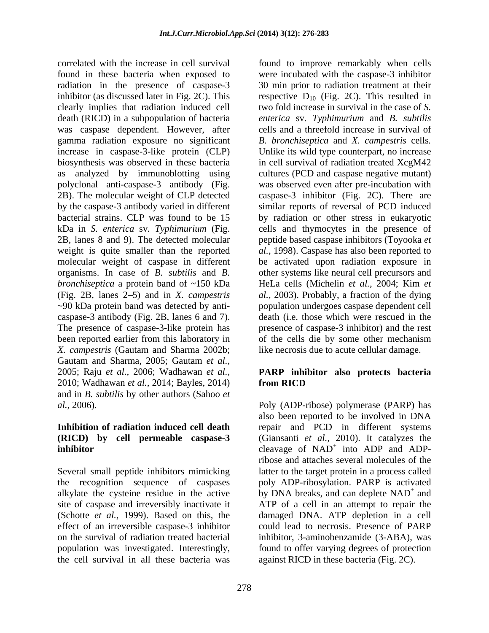correlated with the increase in cell survival found to improve remarkably when cells radiation in the presence of caspase-3 gamma radiation exposure no significant increase in caspase-3-like protein (CLP) molecular weight of caspase in different The presence of caspase-3-like protein has *X. campestris* (Gautam and Sharma 2002b; like necrosis due to acute cellular damage. Gautam and Sharma, 2005; Gautam *et al.,* 2005; Raju *et al.,* 2006; Wadhawan *et al.,* **PARP inhibitor also protects bacteria** 2010; Wadhawan *et al.,* 2014; Bayles, 2014) and in *B. subtilis* by other authors (Sahoo *et al.,* 2006). Poly (ADP-ribose) polymerase (PARP) has

Several small peptide inhibitors mimicking the cell survival in all these bacteria was

found in these bacteria when exposed to were incubated with the caspase-3 inhibitor inhibitor (as discussed later in Fig. 2C). This respective  $D_{10}$  (Fig. 2C). This resulted in clearly implies that radiation induced cell two fold increase in survival in the case of *S.*  death (RICD) in a subpopulation of bacteria *enterica* sv*. Typhimurium* and *B. subtilis* was caspase dependent. However, after cells and a threefold increase in survival of biosynthesis was observed in these bacteria in cell survival of radiation treated XcgM42 as analyzed by immunoblotting using cultures (PCD and caspase negative mutant) polyclonal anti-caspase-3 antibody (Fig. was observed even after pre-incubation with 2B). The molecular weight of CLP detected caspase-3 inhibitor (Fig. 2C). There are by the caspase-3 antibody varied in different similar reports of reversal of PCD induced bacterial strains. CLP was found to be 15 by radiation or other stress in eukaryotic kDa in *S. enterica* sv*. Typhimurium* (Fig. cells and thymocytes in the presence of 2B, lanes 8 and 9). The detected molecular peptide based caspase inhibitors (Toyooka *et*  weight is quite smaller than the reported al., 1998). Caspase has also been reported to organisms. In case of *B. subtilis* and *B.* other systems like neural cell precursors and *bronchiseptica* a protein band of ~150 kDa HeLa cells (Michelin *et al.,* 2004; Kim *et*  (Fig. 2B, lanes 2–5) and in *X. campestris al.,* 2003). Probably, a fraction of the dying ~90 kDa protein band was detected by anti- population undergoes caspase dependent cell caspase-3 antibody (Fig. 2B, lanes 6 and 7). death (i.e. those which were rescued in the been reported earlier from this laboratory in of the cells die by some other mechanism 30 min prior to radiation treatment at their *B. bronchiseptica* and *X. campestris* cells*.* Unlike its wild type counterpart, no increase be activated upon radiation exposure in presence of caspase-3 inhibitor) and the rest

# **from RICD**

**Inhibition of radiation induced cell death** repair and PCD in different systems **(RICD) by cell permeable caspase-3**  (Giansanti *et al.,* 2010). It catalyzes the **inhibitor** cleavage of NAD<sup>+</sup> into ADP and ADPthe recognition sequence of caspases poly ADP-ribosylation. PARP is activated alkylate the cysteine residue in the active by DNA breaks, and can deplete  $NAD^+$  and site of caspase and irreversibly inactivate it ATP of a cell in an attempt to repair the (Schotte *et al.,* 1999). Based on this, the damaged DNA. ATP depletion in a cell effect of an irreversible caspase-3 inhibitor could lead to necrosis. Presence of PARP on the survival of radiation treated bacterial inhibitor, 3-aminobenzamide (3-ABA), was population was investigated. Interestingly, found to offer varying degrees of protection also been reported to be involved in DNA into ADP and ADPribose and attaches several molecules of the latter to the target protein in a process called  $+$  and and against RICD in these bacteria (Fig. 2C).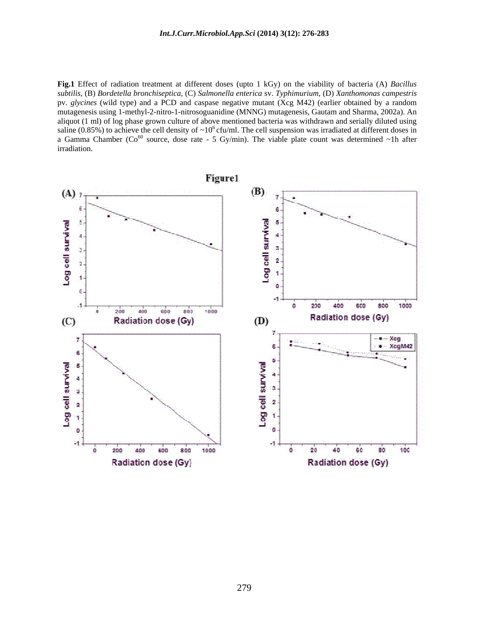**Fig.1** Effect of radiation treatment at different doses (upto 1 kGy) on the viability of bacteria (A) *Bacillus subtilis*, (B) *Bordetella bronchiseptica*, (C) *Salmonella enterica* sv. *Typhimurium*, (D) *Xanthomonas campestris* pv. *glycines* (wild type) and a PCD and caspase negative mutant (Xcg M42) (earlier obtained by a random mutagenesis using 1-methyl-2-nitro-1-nitrosoguanidine (MNNG) mutagenesis, Gautam and Sharma, 2002a). An aliquot (1 ml) of log phase grown culture of above mentioned bacteria was withdrawn and serially diluted using saline (0.85%) to achieve the cell density of  $\sim 10^6$  cfu/ml. The cell suspension was irradiated at different doses in a Gamma Chamber ( $Co^{60}$  source, dose rate - 5 Gy/min). The viable plate count was determined ~1h after irradiation.

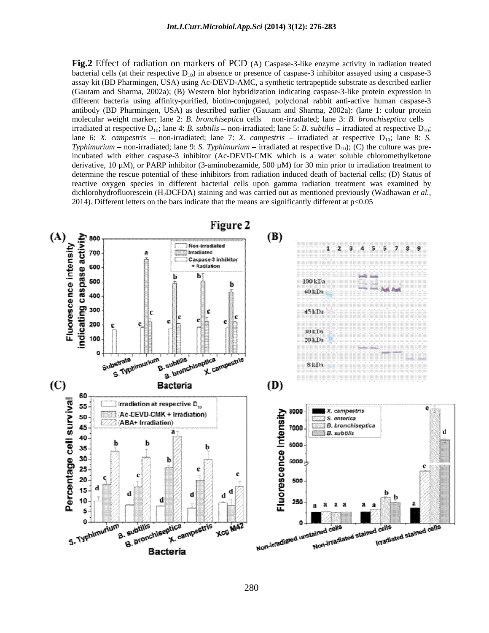**Fig.2** Effect of radiation on markers of PCD (A) Caspase-3-like enzyme activity in radiation treated bacterial cells (at their respective  $D_{10}$ ) in absence or presence of caspase-3 inhibitor assayed using a caspase-3 assay kit (BD Pharmingen, USA) using Ac-DEVD-AMC, a synthetic tertrapeptide substrate as described earlier (Gautam and Sharma, 2002a); (B) Western blot hybridization indicating caspase-3-like protein expression in different bacteria using affinity-purified, biotin-conjugated, polyclonal rabbit anti-active human caspase-3 antibody (BD Pharmingen, USA) as described earlier (Gautam and Sharma, 2002a): (lane 1: colour protein molecular weight marker; lane 2: *B. bronchiseptica* cells – non-irradiated; lane 3: *B. bronchiseptica* cells – irradiated at respective  $D_{10}$ ; lane 4: *B. subtilis* – non-irradiated; lane 5: *B. subtilis* – irradiated at respective  $D_{10}$ ; lane 6: *X. campestris* – non-irradiated; lane 7: *X. campestris* – irradiated at respective  $D_{10}$ ; lane 8: *S. Typhimurium* – non-irradiated; lane 9: *S. Typhimurium* – irradiated at respective  $D_{10}$ ); (C) the culture was preincubated with either caspase-3 inhibitor (Ac-DEVD-CMK which is a water soluble chloromethylketone derivative, 10  $\mu$ M), or PARP inhibitor (3-aminobezamide, 500  $\mu$ M) for 30 min prior to irradiation treatment to determine the rescue potential of these inhibitors from radiation induced death of bacterial cells;(D) Status of reactive oxygen species in different bacterial cells upon gamma radiation treatment was examined by dichlorohydrofluorescein (H2DCFDA) staining and was carried out as mentioned previously (Wadhawan *et al.,* 2014). Different letters on the bars indicate that the means are significantly different at p<0.05

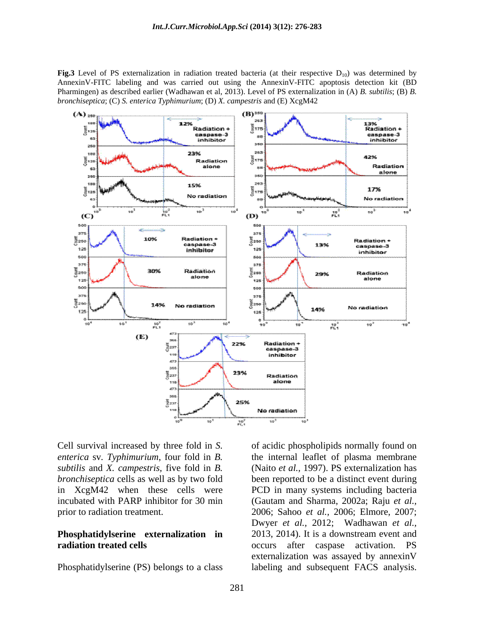**Fig.3** Level of PS externalization in radiation treated bacteria (at their respective  $D_{10}$ ) was determined by AnnexinV-FITC labeling and was carried out using the AnnexinV-FITC apoptosis detection kit (BD Pharmingen) as described earlier (Wadhawan et al, 2013). Level of PS externalization in (A) *B. subtilis*; (B) *B. bronchiseptica*; (C) *S. enterica Typhimurium*; (D) *X. campestris* and (E) XcgM42



Cell survival increased by three fold in *S.* 

Phosphatidylserine (PS) belongs to a class labeling and subsequent FACS analysis.

*enterica* sv*. Typhimurium*, four fold in *B.*  the internal leaflet of plasma membrane *subtilis* and *X. campestris,* five fold in *B.*  (Naito *et al.,* 1997). PS externalization has *bronchiseptica* cells as well as by two fold been reported to be a distinct event during in XcgM42 when these cells were PCD in many systems including bacteria incubated with PARP inhibitor for 30 min (Gautam and Sharma, 2002a; Raju *et al.,* prior to radiation treatment. 2006; Sahoo *et al.*, 2006; Elmore, 2007; **Phosphatidylserine** externalization in 2013, 2014). It is a downstream event and **radiation treated cells being constructed** constructed cells **constructed** constructed cells **constructed** cells of acidic phospholipids normally found on Dwyer *et al.,* 2012; Wadhawan *et al.,* 2013, 2014). It is a downstream event and externalization was assayed by annexinV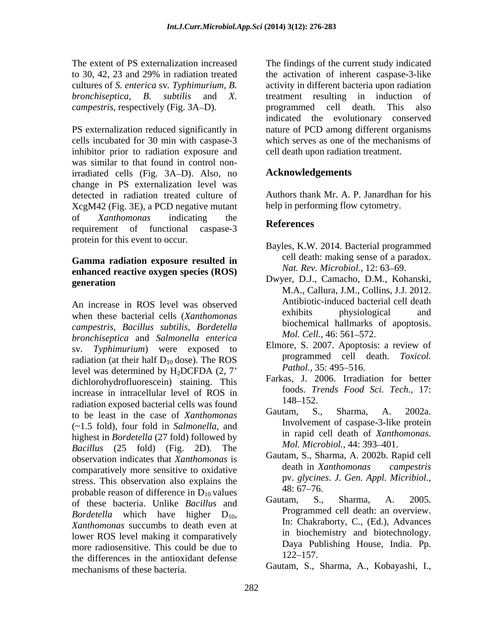cultures of *S. enterica* sv*. Typhimurium*, *B.* 

cells incubated for 30 min with caspase-3 inhibitor prior to radiation exposure and was similar to that found in control nonirradiated cells (Fig. 3A-D). Also, no **Acknowledgements** change in PS externalization level was detected in radiation treated culture of XcgM42 (Fig. 3E), a PCD negative mutant of *Xanthomonas* indicating the requirement of functional caspase-3 **Neithelices** protein for this event to occur.

## **Gamma radiation exposure resulted in enhanced reactive oxygen species (ROS)**

An increase in ROS level was observed<br>when these besterial calls (*Yanthomongs* exhibits physiological and when these bacterial cells (*Xanthomonas campestris, Bacillus subtilis, Bordetella bronchiseptica* and *Salmonella enterica* sv. *Typhimurium*) were exposed to radiation (at their half  $D_{10}$  dose). The ROS<br>level was determined by  $H_2$ DCFDA (2, 7' Pathol., 35: 495–516. level was determined by H<sub>2</sub>DCFDA  $(2, 7)$   $Patnol., 33: 493-310.$ dichlorohydrofluorescein) staining. This increase in intracellular level of ROS in  $\frac{1000 \text{ s}}{148 - 152}$ radiation exposed bacterial cells was found<br>to be least in the case of Yanthamanas Gautam, S., Sharma, A. 2002a. to be least in the case of *Xanthomonas* (~1.5 fold), four fold in *Salmonella,* and highest in *Bordetella* (27 fold) followed by *Bacillus* (25 fold) (Fig. 2D)*.* The observation indicates that *Xanthomonas* is<br> **observation** in *Xanthomonas* is<br> **observatively** more consitive to oxidative<br> **o** can death in *Xanthomonas campestris* comparatively more sensitive to oxidative stress. This observation also explains the  $\frac{pv \cdot glycine}{48.67-76}$ probable reason of difference in  $D_{10}$  values<br>of these heater is Unlike Basillus and Gautam. S., Sharma, A. 2005. of these bacteria. Unlike *Bacillus* and *Bordetella* which have higher  $D_{10}$ , *Xanthomonas* succumbs to death even at lower ROS level making it comparatively more radiosensitive. This could be due to  $\frac{Daya - Pu}{122-157}$ the differences in the antioxidant defense mechanisms of these bacteria. Gautam, S., Sharma, A., Kobayashi, I.,

The extent of PS externalization increased The findings of the current study indicated to 30, 42, 23 and 29% in radiation treated *bronchiseptica*, *B. subtilis* and *X.*  treatment resulting in induction of *campestris*, respectively (Fig. 3A–D). This programmed cell death. This also PS externalization reduced significantly in nature of PCD among different organisms the activation of inherent caspase-3-like activity in different bacteria upon radiation programmed cell death. This also indicated the evolutionary conserved which serves as one of the mechanisms of cell death upon radiation treatment.

### **Acknowledgements**

Authors thank Mr. A. P. Janardhan for his help in performing flow cytometry.

#### **References**

- Bayles, K.W. 2014. Bacterial programmed cell death: making sense of a paradox. *Nat. Rev. Microbiol., 12: 63-69.*
- generation **buyer**, D.J., Camacno, D.M., Konanski, Dwyer, D.J., Camacho, D.M., Kohanski, M.A., Callura, J.M., Collins, J.J. 2012. Antibiotic-induced bacterial cell death exhibits physiological and biochemical hallmarks of apoptosis. *Mol. Cell.,* 46: 561–572.
	- Elmore, S. 2007. Apoptosis: a review of programmed cell death. *Toxicol. Pathol.,* 35: 495–516.
	- Farkas, J. 2006. Irradiation for better foods. *Trends Food Sci. Tech.,* 17: 148–152.
	- Gautam, S., Sharma, A. 2002a. Involvement of caspase-3-like protein in rapid cell death of *Xanthomonas*. *Mol. Microbiol., 44: 393-401.*
	- Gautam, S., Sharma, A. 2002b. Rapid cell death in *Xanthomonas campestris* pv. *glycines*. *J. Gen. Appl. Micribiol.,*  $48:67 - 76.$
	- Gautam, S., Sharma, A. 2005. Programmed cell death: an overview. In: Chakraborty, C., (Ed.), Advances in biochemistry and biotechnology. Daya Publishing House, India. Pp. 122–157.